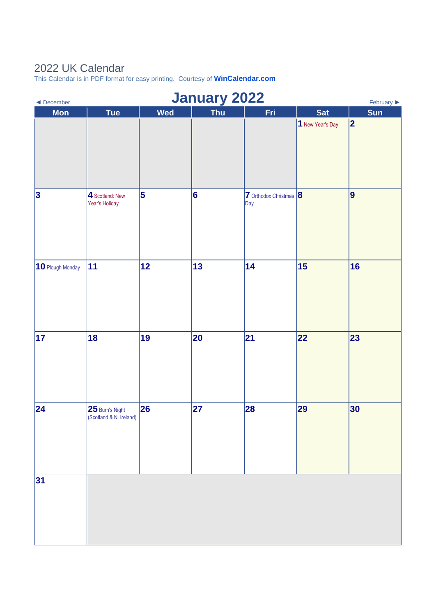## 2022 UK Calendar

This Calendar is in PDF format for easy printing. Courtesy of **[WinCalendar.com](https://www.wincalendar.com/2022-Calendar-with-UK-Holidays)**

| January 2022<br>February $\blacktriangleright$<br>$\blacktriangleleft$ December |                                            |            |            |                               |                  |     |  |  |
|---------------------------------------------------------------------------------|--------------------------------------------|------------|------------|-------------------------------|------------------|-----|--|--|
| <b>Mon</b>                                                                      | <b>Tue</b>                                 | <b>Wed</b> | <b>Thu</b> | Fri                           | <b>Sat</b>       | Sun |  |  |
|                                                                                 |                                            |            |            |                               | 1 New Year's Day | 2   |  |  |
| $\vert$ 3                                                                       | 4 Scotland: New<br>Year's Holiday          | 5          | 6          | 7 Orthodox Christmas 8<br>Day |                  | 9   |  |  |
| 10 Plough Monday                                                                | 11                                         | 12         | 13         | 14                            | 15               | 16  |  |  |
| 17                                                                              | 18                                         | 19         | 20         | 21                            | 22               | 23  |  |  |
| 24                                                                              | 25 Burn's Night<br>(Scotland & N. Ireland) | 26         | 27         | 28                            | 29               | 30  |  |  |
| 31                                                                              |                                            |            |            |                               |                  |     |  |  |
|                                                                                 |                                            |            |            |                               |                  |     |  |  |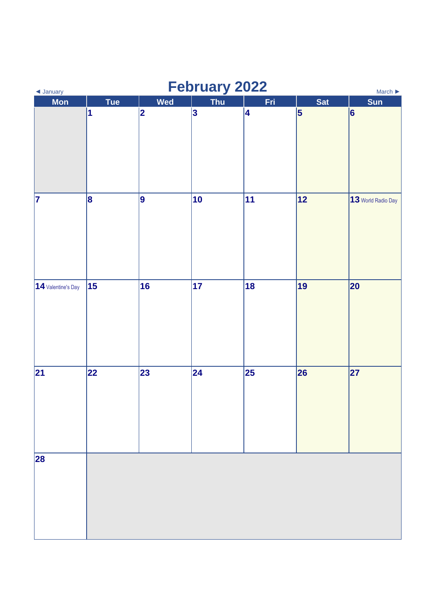| February 2022<br>$\blacktriangleleft$ January<br>March $\blacktriangleright$ |            |     |                 |     |            |                    |  |  |
|------------------------------------------------------------------------------|------------|-----|-----------------|-----|------------|--------------------|--|--|
| <b>Mon</b>                                                                   | <b>Tue</b> | Wed | Thu             | Fri | <b>Sat</b> | Sun                |  |  |
|                                                                              | 1          | 2   | $\vert 3 \vert$ | 4   | $\vert$ 5  | $\vert 6 \vert$    |  |  |
| 7                                                                            | 8          | 9   | 10              | 11  | 12         | 13 World Radio Day |  |  |
| 14 Valentine's Day                                                           | 15         | 16  | 17              | 18  | 19         | 20                 |  |  |
| 21                                                                           | 22         | 23  | $ 24\rangle$    | 25  | 26         | 27                 |  |  |
| 28                                                                           |            |     |                 |     |            |                    |  |  |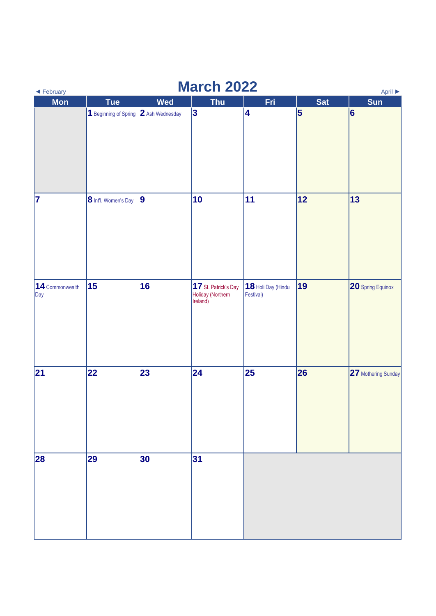| <b>March 2022</b><br>April ▶<br>◀ February |                                       |            |                                                       |                                 |            |                     |  |  |
|--------------------------------------------|---------------------------------------|------------|-------------------------------------------------------|---------------------------------|------------|---------------------|--|--|
| Mon                                        | <b>Tue</b>                            | <b>Wed</b> | <b>Thu</b>                                            | Fri                             | <b>Sat</b> | Sun                 |  |  |
|                                            | 1 Beginning of Spring 2 Ash Wednesday |            | 3                                                     | 4                               | 5          | 6                   |  |  |
| 7                                          | 8 Int'l. Women's Day                  | 9          | 10                                                    | 11                              | 12         | 13                  |  |  |
| 14 Commonwealth<br>Day                     | 15                                    | 16         | 17 St. Patrick's Day<br>Holiday (Northern<br>Ireland) | 18 Holi Day (Hindu<br>Festival) | 19         | 20 Spring Equinox   |  |  |
| 21                                         | 22                                    | 23         | 24                                                    | 25                              | 26         | 27 Mothering Sunday |  |  |
| 28                                         | 29                                    | 30         | 31                                                    |                                 |            |                     |  |  |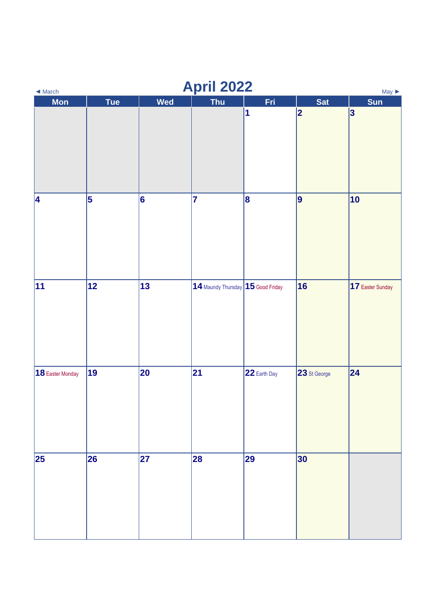| <b>April 2022</b><br>$May \triangleright$<br>$\blacktriangleleft$ March |            |            |                                         |              |              |                  |  |  |
|-------------------------------------------------------------------------|------------|------------|-----------------------------------------|--------------|--------------|------------------|--|--|
| <b>Mon</b>                                                              | <b>Tue</b> | <b>Wed</b> | <b>Thu</b>                              | Fri          | <b>Sat</b>   | <b>Sun</b>       |  |  |
|                                                                         |            |            |                                         | 1            | 2            | $\vert 3 \vert$  |  |  |
| 4                                                                       | 5          | 6          | 17                                      | 8            | 9            | 10               |  |  |
| 11                                                                      | 12         | 13         | $ 14$ Maundy Thursday $ 15$ Good Friday |              | 16           | 17 Easter Sunday |  |  |
| 18 Easter Monday                                                        | 19         | 20         | 21                                      | 22 Earth Day | 23 St George | 24               |  |  |
| 25                                                                      | 26         | 27         | 28                                      | 29           | 30           |                  |  |  |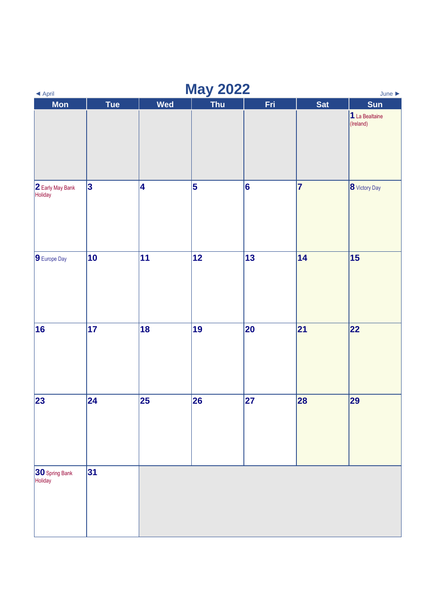| <b>May 2022</b><br>$\blacktriangleleft$ April<br>June $\blacktriangleright$ |            |                         |            |                 |            |                             |  |
|-----------------------------------------------------------------------------|------------|-------------------------|------------|-----------------|------------|-----------------------------|--|
| <b>Mon</b>                                                                  | Tue        | <b>Wed</b>              | <b>Thu</b> | Fri             | <b>Sat</b> | <b>Sun</b>                  |  |
|                                                                             |            |                         |            |                 |            | 1 La Bealtaine<br>(Ireland) |  |
| 2 Early May Bank<br>Holiday                                                 | 3          | $\overline{\mathbf{4}}$ | 5          | $\vert 6 \vert$ | 7          | 8 Victory Day               |  |
| 9 Europe Day                                                                | 10         | 11                      | 12         | 13              | 14         | 15                          |  |
| 16                                                                          | $\vert$ 17 | 18                      | 19         | 20              | 21         | 22                          |  |
| 23                                                                          | 24         | 25                      | 26         | 27              | 28         | 29                          |  |
| 30 Spring Bank<br>Holiday                                                   | 31         |                         |            |                 |            |                             |  |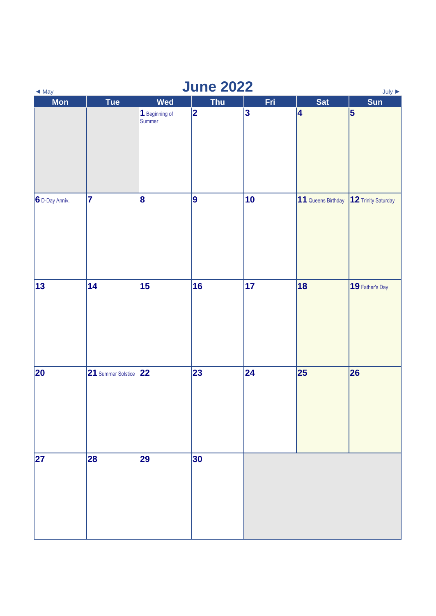| <b>June 2022</b><br>$July \rightarrow$<br>$\blacktriangleleft$ May |                         |                          |            |           |                    |                     |  |  |
|--------------------------------------------------------------------|-------------------------|--------------------------|------------|-----------|--------------------|---------------------|--|--|
| <b>Mon</b>                                                         | <b>Tue</b>              | <b>Wed</b>               | <b>Thu</b> | Fri       | <b>Sat</b>         | Sun                 |  |  |
|                                                                    |                         | 1 Beginning of<br>Summer | 2          | $\vert$ 3 | 4                  | 5                   |  |  |
| 6 D-Day Anniv.                                                     | $\overline{\mathbf{7}}$ | 8                        | 9          | 10        | 11 Queens Birthday | 12 Trinity Saturday |  |  |
| 13                                                                 | 14                      | 15                       | 16         | 17        | 18                 | 19 Father's Day     |  |  |
| 20                                                                 | 21 Summer Solstice 22   |                          | 23         | 24        | 25                 | 26                  |  |  |
| 27                                                                 | 28                      | 29                       | 30         |           |                    |                     |  |  |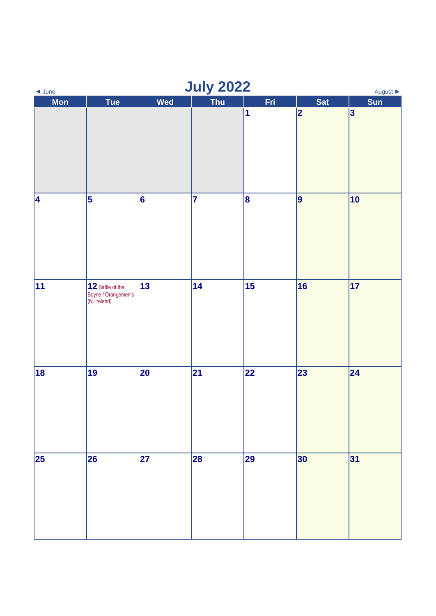| <b>July 2022</b><br>$\triangleleft$ June<br>August $\blacktriangleright$ |                                                         |     |     |     |            |                 |  |
|--------------------------------------------------------------------------|---------------------------------------------------------|-----|-----|-----|------------|-----------------|--|
| <b>Mon</b>                                                               | <b>Tue</b>                                              | Wed | Thu | Fri | <b>Sat</b> | Sun             |  |
|                                                                          |                                                         |     |     | 1   | 2          | $\vert 3 \vert$ |  |
| 4                                                                        | 5                                                       | 6   | 17  | 8   | 9          | 10              |  |
| 11                                                                       | 12 Battle of the<br>Boyne / Orangemen's<br>(N. Ireland) | 13  | 14  | 15  | 16         | 17              |  |
| 18                                                                       | 19                                                      | 20  | 21  | 22  | 23         | 24              |  |
| 25                                                                       | 26                                                      | 27  | 28  | 29  | 30         | 31              |  |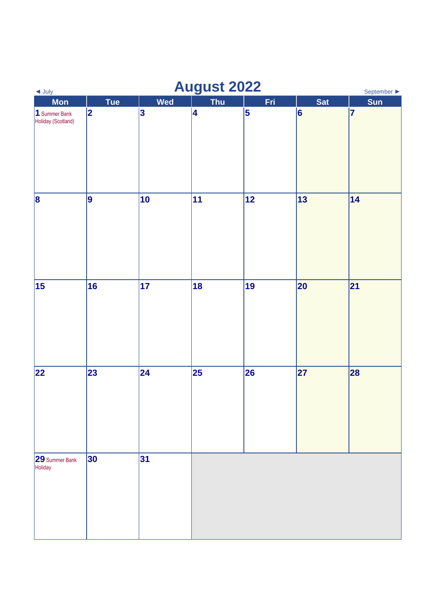| <b>August 2022</b><br>September $\blacktriangleright$<br>$\triangleleft$ July |             |            |            |     |                 |                |  |
|-------------------------------------------------------------------------------|-------------|------------|------------|-----|-----------------|----------------|--|
| <b>Mon</b>                                                                    | <b>Tue</b>  | <b>Wed</b> | <b>Thu</b> | Fri | Sat             | Sun            |  |
| 1 Summer Bank<br>Holiday (Scotland)                                           | $ 2\rangle$ | $\vert$ 3  | 4          | 5   | $\vert 6$       | $\overline{7}$ |  |
| $\vert \mathbf{8} \vert$                                                      | 9           | 10         | 11         | 12  | 13              | 14             |  |
| 15                                                                            | 16          | 17         | 18         | 19  | 20              | 21             |  |
| 22                                                                            | 23          | 24         | 25         | 26  | $\overline{27}$ | 28             |  |
| 29 Summer Bank<br>Holiday                                                     | 30          | 31         |            |     |                 |                |  |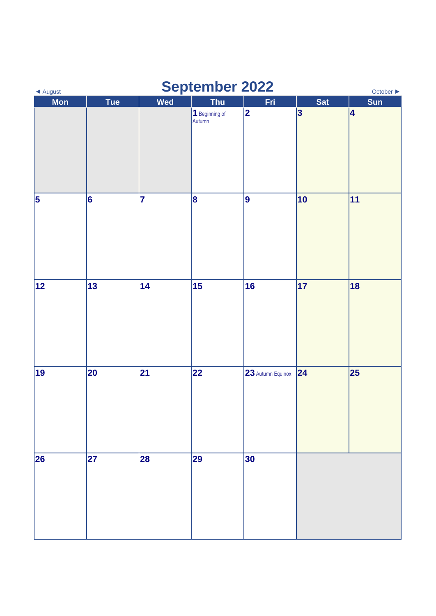| <b>September 2022</b><br>◀ August<br>October ▶ |            |     |                          |                   |                 |            |  |
|------------------------------------------------|------------|-----|--------------------------|-------------------|-----------------|------------|--|
| <b>Mon</b>                                     | <b>Tue</b> | Wed | <b>Thu</b>               | Fri               | <b>Sat</b>      | <b>Sun</b> |  |
|                                                |            |     | 1 Beginning of<br>Autumn | 2                 | $\vert 3 \vert$ | 4          |  |
| $\vert$ 5                                      | 6          | 7   | 8                        | 9                 | 10              | 11         |  |
| 12                                             | 13         | 14  | 15                       | 16                | 17              | 18         |  |
| 19                                             | 20         | 21  | 22                       | 23 Autumn Equinox | 24              | 25         |  |
| 26                                             | 27         | 28  | 29                       | 30                |                 |            |  |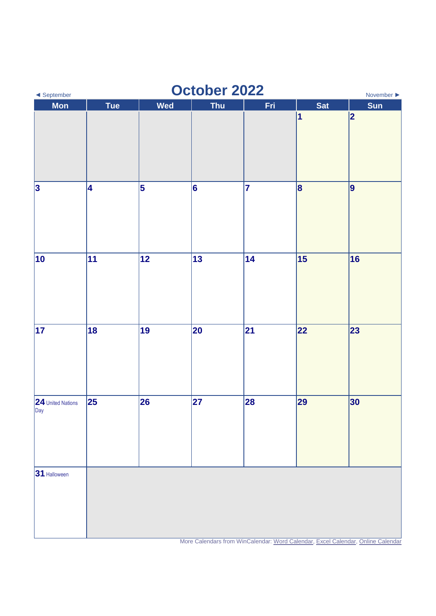| October 2022<br>◀ September<br>November $\blacktriangleright$ |            |                         |            |     |                 |                                                                                 |  |
|---------------------------------------------------------------|------------|-------------------------|------------|-----|-----------------|---------------------------------------------------------------------------------|--|
| <b>Mon</b>                                                    | <b>Tue</b> | Wed                     | <b>Thu</b> | Fri | <b>Sat</b><br>1 | <b>Sun</b><br>2                                                                 |  |
| $\vert$ 3                                                     | 4          | $\overline{\mathbf{5}}$ | 6          | 7   | 8               | 9                                                                               |  |
| 10                                                            | 11         | 12                      | 13         | 14  | 15              | 16                                                                              |  |
| 17                                                            | 18         | 19                      | 20         | 21  | 22              | 23                                                                              |  |
| 24 United Nations<br>Day                                      | 25         | 26                      | 27         | 28  | 29              | 30                                                                              |  |
| 31 Halloween                                                  |            |                         |            |     |                 | More Calendars from WinCalendar: Word Calendar, Excel Calendar, Online Calendar |  |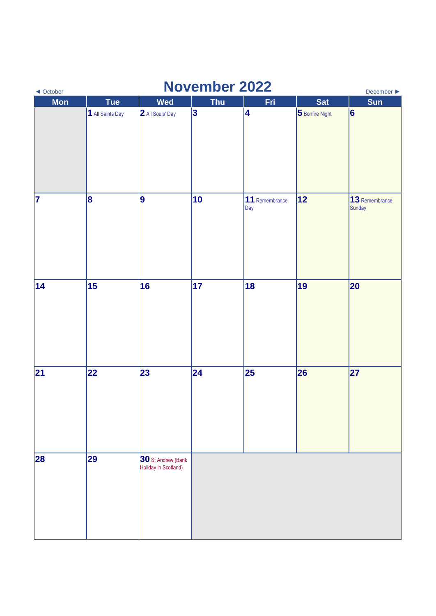| <b>November 2022</b><br>December $\blacktriangleright$<br>◀ October |                  |                                                   |            |                       |                 |                          |  |
|---------------------------------------------------------------------|------------------|---------------------------------------------------|------------|-----------------------|-----------------|--------------------------|--|
| <b>Mon</b>                                                          | <b>Tue</b>       | <b>Wed</b>                                        | <b>Thu</b> | Fri                   | <b>Sat</b>      | <b>Sun</b>               |  |
|                                                                     | 1 All Saints Day | 2 All Souls' Day                                  | $\vert$ 3  | 4                     | 5 Bonfire Night | 6                        |  |
| 7                                                                   | 8                | 9                                                 | 10         | 11 Remembrance<br>Day | 12              | 13 Remembrance<br>Sunday |  |
| 14                                                                  | 15               | 16                                                | 17         | 18                    | 19              | 20                       |  |
| 21                                                                  | 22               | 23                                                | 24         | 25                    | 26              | 27                       |  |
| 28                                                                  | 29               | <b>30</b> St Andrew (Bank<br>Holiday in Scotland) |            |                       |                 |                          |  |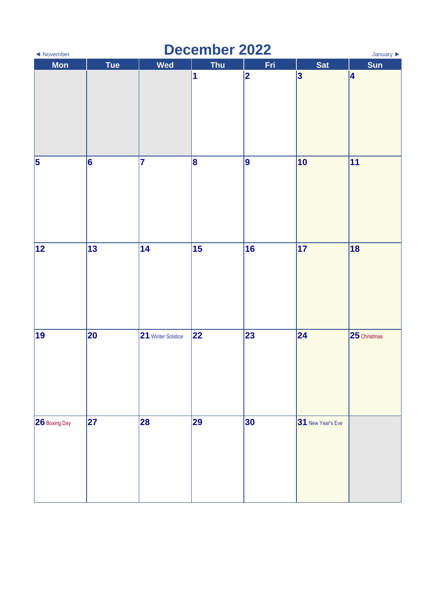| <b>December 2022</b><br>January $\blacktriangleright$<br>◀ November |            |                    |            |             |                   |              |  |
|---------------------------------------------------------------------|------------|--------------------|------------|-------------|-------------------|--------------|--|
| <b>Mon</b>                                                          | <b>Tue</b> | <b>Wed</b>         | <b>Thu</b> | Fri         | <b>Sat</b>        | <b>Sun</b>   |  |
|                                                                     |            |                    | 1          | $ 2\rangle$ | $\vert 3 \vert$   | 4            |  |
| $\vert$ 5                                                           | 6          | 7                  | 8          | 9           | 10                | 11           |  |
| 12                                                                  | 13         | 14                 | 15         | 16          | 17                | 18           |  |
| 19                                                                  | 20         | 21 Winter Solstice | 22         | 23          | 24                | 25 Christmas |  |
| <b>26</b> Boxing Day                                                | 27         | 28                 | 29         | 30          | 31 New Year's Eve |              |  |